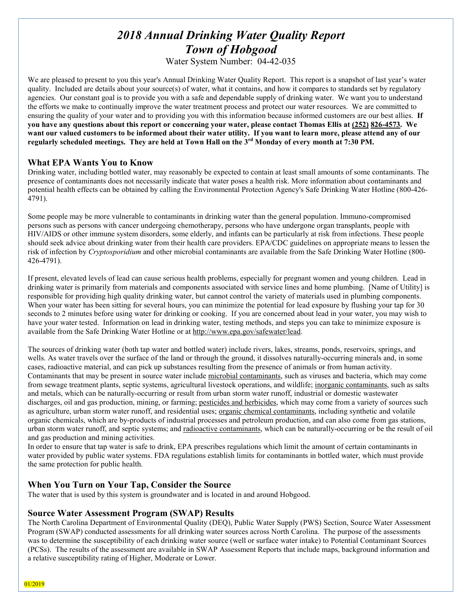# *2018 Annual Drinking Water Quality Report Town of Hobgood*

Water System Number: 04-42-035

We are pleased to present to you this year's Annual Drinking Water Quality Report. This report is a snapshot of last year's water quality. Included are details about your source(s) of water, what it contains, and how it compares to standards set by regulatory agencies. Our constant goal is to provide you with a safe and dependable supply of drinking water. We want you to understand the efforts we make to continually improve the water treatment process and protect our water resources. We are committed to ensuring the quality of your water and to providing you with this information because informed customers are our best allies. **If you have any questions about this report or concerning your water, please contact Thomas Ellis at (252) 826-4573. We want our valued customers to be informed about their water utility. If you want to learn more, please attend any of our regularly scheduled meetings. They are held at Town Hall on the 3rd Monday of every month at 7:30 PM.**

## **What EPA Wants You to Know**

Drinking water, including bottled water, may reasonably be expected to contain at least small amounts of some contaminants. The presence of contaminants does not necessarily indicate that water poses a health risk. More information about contaminants and potential health effects can be obtained by calling the Environmental Protection Agency's Safe Drinking Water Hotline (800-426- 4791).

Some people may be more vulnerable to contaminants in drinking water than the general population. Immuno-compromised persons such as persons with cancer undergoing chemotherapy, persons who have undergone organ transplants, people with HIV/AIDS or other immune system disorders, some elderly, and infants can be particularly at risk from infections. These people should seek advice about drinking water from their health care providers. EPA/CDC guidelines on appropriate means to lessen the risk of infection by *Cryptosporidium* and other microbial contaminants are available from the Safe Drinking Water Hotline (800- 426-4791).

If present, elevated levels of lead can cause serious health problems, especially for pregnant women and young children. Lead in drinking water is primarily from materials and components associated with service lines and home plumbing. [Name of Utility] is responsible for providing high quality drinking water, but cannot control the variety of materials used in plumbing components. When your water has been sitting for several hours, you can minimize the potential for lead exposure by flushing your tap for 30 seconds to 2 minutes before using water for drinking or cooking. If you are concerned about lead in your water, you may wish to have your water tested. Information on lead in drinking water, testing methods, and steps you can take to minimize exposure is available from the Safe Drinking Water Hotline or at [http://www.epa.gov/safewater/lead.](http://www.epa.gov/safewater/lead)

The sources of drinking water (both tap water and bottled water) include rivers, lakes, streams, ponds, reservoirs, springs, and wells. As water travels over the surface of the land or through the ground, it dissolves naturally-occurring minerals and, in some cases, radioactive material, and can pick up substances resulting from the presence of animals or from human activity. Contaminants that may be present in source water include microbial contaminants, such as viruses and bacteria, which may come from sewage treatment plants, septic systems, agricultural livestock operations, and wildlife; inorganic contaminants, such as salts and metals, which can be naturally-occurring or result from urban storm water runoff, industrial or domestic wastewater discharges, oil and gas production, mining, or farming; pesticides and herbicides, which may come from a variety of sources such as agriculture, urban storm water runoff, and residential uses; organic chemical contaminants, including synthetic and volatile organic chemicals, which are by-products of industrial processes and petroleum production, and can also come from gas stations, urban storm water runoff, and septic systems; and radioactive contaminants, which can be naturally-occurring or be the result of oil and gas production and mining activities.

In order to ensure that tap water is safe to drink, EPA prescribes regulations which limit the amount of certain contaminants in water provided by public water systems. FDA regulations establish limits for contaminants in bottled water, which must provide the same protection for public health.

# **When You Turn on Your Tap, Consider the Source**

The water that is used by this system is groundwater and is located in and around Hobgood.

## **Source Water Assessment Program (SWAP) Results**

The North Carolina Department of Environmental Quality (DEQ), Public Water Supply (PWS) Section, Source Water Assessment Program (SWAP) conducted assessments for all drinking water sources across North Carolina. The purpose of the assessments was to determine the susceptibility of each drinking water source (well or surface water intake) to Potential Contaminant Sources (PCSs). The results of the assessment are available in SWAP Assessment Reports that include maps, background information and a relative susceptibility rating of Higher, Moderate or Lower.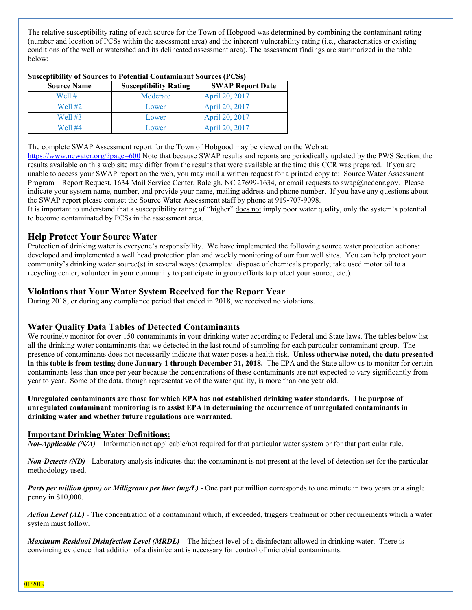The relative susceptibility rating of each source for the Town of Hobgood was determined by combining the contaminant rating (number and location of PCSs within the assessment area) and the inherent vulnerability rating (i.e., characteristics or existing conditions of the well or watershed and its delineated assessment area). The assessment findings are summarized in the table below:

| <b>Source Name</b> | <b>Susceptibility Rating</b> | <b>SWAP Report Date</b> |
|--------------------|------------------------------|-------------------------|
| Well $# 1$         | Moderate                     | April 20, 2017          |
| Well $#2$          | Lower                        | April 20, 2017          |
| Well $#3$          | Lower                        | April 20, 2017          |
| Well $#4$          | Lower                        | April 20, 2017          |

The complete SWAP Assessment report for the Town of Hobgood may be viewed on the Web at:

<https://www.ncwater.org/?page=600> Note that because SWAP results and reports are periodically updated by the PWS Section, the results available on this web site may differ from the results that were available at the time this CCR was prepared. If you are unable to access your SWAP report on the web, you may mail a written request for a printed copy to: Source Water Assessment Program – Report Request, 1634 Mail Service Center, Raleigh, NC 27699-1634, or email requests to swap@ncdenr.gov. Please indicate your system name, number, and provide your name, mailing address and phone number. If you have any questions about the SWAP report please contact the Source Water Assessment staff by phone at 919-707-9098.

It is important to understand that a susceptibility rating of "higher" does not imply poor water quality, only the system's potential to become contaminated by PCSs in the assessment area.

# **Help Protect Your Source Water**

Protection of drinking water is everyone's responsibility. We have implemented the following source water protection actions: developed and implemented a well head protection plan and weekly monitoring of our four well sites. You can help protect your community's drinking water source(s) in several ways: (examples: dispose of chemicals properly; take used motor oil to a recycling center, volunteer in your community to participate in group efforts to protect your source, etc.).

# **Violations that Your Water System Received for the Report Year**

During 2018, or during any compliance period that ended in 2018, we received no violations.

# **Water Quality Data Tables of Detected Contaminants**

We routinely monitor for over 150 contaminants in your drinking water according to Federal and State laws. The tables below list all the drinking water contaminants that we detected in the last round of sampling for each particular contaminant group. The presence of contaminants does not necessarily indicate that water poses a health risk. **Unless otherwise noted, the data presented in this table is from testing done January 1 through December 31, 2018.** The EPA and the State allow us to monitor for certain contaminants less than once per year because the concentrations of these contaminants are not expected to vary significantly from year to year. Some of the data, though representative of the water quality, is more than one year old.

**Unregulated contaminants are those for which EPA has not established drinking water standards. The purpose of unregulated contaminant monitoring is to assist EPA in determining the occurrence of unregulated contaminants in drinking water and whether future regulations are warranted.** 

## **Important Drinking Water Definitions:**

*Not-Applicable (N/A)* – Information not applicable/not required for that particular water system or for that particular rule.

*Non-Detects (ND)* - Laboratory analysis indicates that the contaminant is not present at the level of detection set for the particular methodology used.

*Parts per million (ppm) or Milligrams per liter (mg/L)* - One part per million corresponds to one minute in two years or a single penny in \$10,000.

*Action Level* (*AL*) - The concentration of a contaminant which, if exceeded, triggers treatment or other requirements which a water system must follow.

*Maximum Residual Disinfection Level (MRDL)* – The highest level of a disinfectant allowed in drinking water. There is convincing evidence that addition of a disinfectant is necessary for control of microbial contaminants.